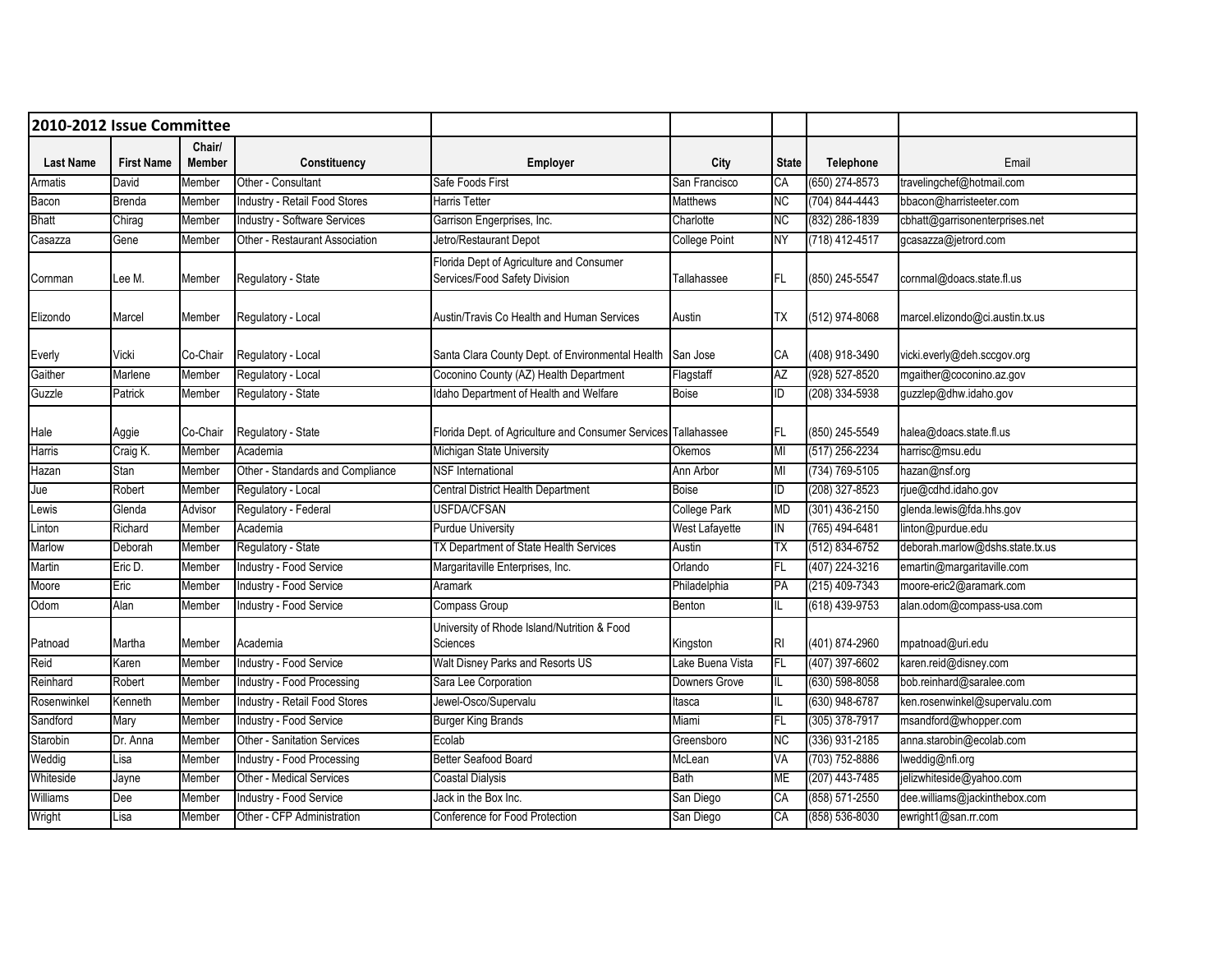| 2010-2012 Issue Committee |                            |                         |                                     |                                                                           |                      |              |                    |                                 |
|---------------------------|----------------------------|-------------------------|-------------------------------------|---------------------------------------------------------------------------|----------------------|--------------|--------------------|---------------------------------|
| <b>Last Name</b>          | <b>First Name</b>          | Chair/<br><b>Member</b> | Constituency                        | Employer                                                                  | City                 | <b>State</b> | Telephone          | Email                           |
| Armatis                   | David                      | Member                  | Other - Consultant                  | Safe Foods First                                                          | San Francisco        | CA           | $(650)$ 274-8573   | travelingchef@hotmail.com       |
| Bacon                     | Brenda                     | Member                  | Industry - Retail Food Stores       | <b>Harris Tetter</b>                                                      | Matthews             | ΝC           | $(704) 844 - 4443$ | bbacon@harristeeter.com         |
| Bhatt                     | $\overline{\text{Chirag}}$ | Member                  | <b>Industry - Software Services</b> | Garrison Engerprises, Inc.                                                | Charlotte            | ΝC           | (832) 286-1839     | cbhatt@garrisonenterprises.net  |
| Casazza                   | Gene                       | Member                  | Other - Restaurant Association      | Jetro/Restaurant Depot                                                    | <b>College Point</b> | <b>NY</b>    | (718) 412-4517     | gcasazza@jetrord.com            |
| Cornman                   | Lee M.                     | Member                  | Regulatory - State                  | Florida Dept of Agriculture and Consumer<br>Services/Food Safety Division | Tallahassee          | FL.          | (850) 245-5547     | cornmal@doacs.state.fl.us       |
| Elizondo                  | Marcel                     | Member                  | Regulatory - Local                  | Austin/Travis Co Health and Human Services                                | Austin               | ТX           | (512) 974-8068     | marcel.elizondo@ci.austin.tx.us |
| Everly                    | Vicki                      | Co-Chair                | Regulatory - Local                  | Santa Clara County Dept. of Environmental Health                          | San Jose             | СA           | (408) 918-3490     | vicki.everly@deh.sccgov.org     |
| Gaither                   | Marlene                    | Member                  | Regulatory - Local                  | Coconino County (AZ) Health Department                                    | Flagstaff            | <b>AZ</b>    | (928) 527-8520     | mgaither@coconino.az.gov        |
| Guzzle                    | Patrick                    | Member                  | Regulatory - State                  | Idaho Department of Health and Welfare                                    | Boise                | ID           | (208) 334-5938     | guzzlep@dhw.idaho.gov           |
| Hale                      | Aggie                      | Co-Chair                | Regulatory - State                  | Florida Dept. of Agriculture and Consumer Services Tallahassee            |                      | FL           | (850) 245-5549     | halea@doacs.state.fl.us         |
| Harris                    | Craig K.                   | Member                  | Academia                            | Michigan State University                                                 | Okemos               | MI           | (517) 256-2234     | harrisc@msu.edu                 |
| Hazan                     | Stan                       | Member                  | Other - Standards and Compliance    | <b>NSF</b> International                                                  | Ann Arbor            | MI           | (734) 769-5105     | hazan@nsf.org                   |
| Jue                       | Robert                     | Member                  | Regulatory - Local                  | Central District Health Department                                        | <b>Boise</b>         | ID           | (208) 327-8523     | rjue@cdhd.idaho.gov             |
| Lewis                     | Glenda                     | Advisor                 | Regulatory - Federal                | <b>USFDA/CFSAN</b>                                                        | <b>College Park</b>  | MD           | $(301)$ 436-2150   | glenda.lewis@fda.hhs.gov        |
| Linton                    | Richard                    | Member                  | Academia                            | <b>Purdue University</b>                                                  | West Lafayette       | IN           | (765) 494-6481     | linton@purdue.edu               |
| Marlow                    | Deborah                    | Member                  | Regulatory - State                  | TX Department of State Health Services                                    | Austin               | ТX           | (512) 834-6752     | deborah.marlow@dshs.state.tx.us |
| Martin                    | Eric D.                    | Member                  | Industry - Food Service             | Margaritaville Enterprises, Inc.                                          | Orlando              | FL           | (407) 224-3216     | emartin@margaritaville.com      |
| Moore                     | Eric                       | Member                  | Industry - Food Service             | <b>Aramark</b>                                                            | Philadelphia         | PA           | (215) 409-7343     | moore-eric2@aramark.com         |
| Odom                      | Alan                       | Member                  | Industry - Food Service             | Compass Group                                                             | Benton               |              | $(618)$ 439-9753   | alan.odom@compass-usa.com       |
| Patnoad                   | Martha                     | Member                  | Academia                            | University of Rhode Island/Nutrition & Food<br>Sciences                   | Kingston             | RI           | (401) 874-2960     | mpatnoad@uri.edu                |
| Reid                      | Karen                      | Member                  | Industry - Food Service             | Walt Disney Parks and Resorts US                                          | Lake Buena Vista     | FL           | (407) 397-6602     | karen.reid@disney.com           |
| Reinhard                  | Robert                     | Member                  | Industry - Food Processing          | Sara Lee Corporation                                                      | Downers Grove        |              | $(630) 598 - 8058$ | bob.reinhard@saralee.com        |
| Rosenwinkel               | Kenneth                    | Member                  | Industry - Retail Food Stores       | Jewel-Osco/Supervalu                                                      | ltasca               |              | $(630)$ 948-6787   | ken.rosenwinkel@supervalu.com   |
| Sandford                  | Mary                       | Member                  | <b>Industry - Food Service</b>      | <b>Burger King Brands</b>                                                 | Miami                | FL.          | (305) 378-7917     | msandford@whopper.com           |
| Starobin                  | Dr. Anna                   | Member                  | <b>Other - Sanitation Services</b>  | Ecolab                                                                    | Greensboro           | NC           | (336) 931-2185     | anna.starobin@ecolab.com        |
| Weddig                    | Lisa                       | Member                  | Industry - Food Processing          | <b>Better Seafood Board</b>                                               | McLean               | VA           | (703) 752-8886     | lweddig@nfi.org                 |
| Whiteside                 | Jayne                      | Member                  | <b>Other - Medical Services</b>     | Coastal Dialysis                                                          | Bath                 | <b>ME</b>    | (207) 443-7485     | jelizwhiteside@yahoo.com        |
| Williams                  | Dee                        | Member                  | Industry - Food Service             | Jack in the Box Inc.                                                      | San Diego            | СA           | (858) 571-2550     | dee.williams@jackinthebox.com   |
| Wright                    | Lisa                       | Member                  | Other - CFP Administration          | Conference for Food Protection                                            | San Diego            | СA           | (858) 536-8030     | ewright1@san.rr.com             |